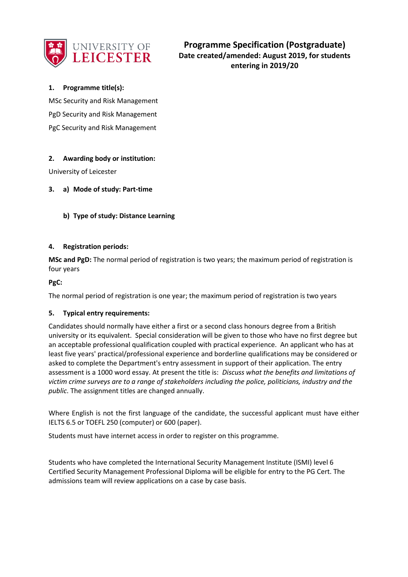

# **1. Programme title(s):**

MSc Security and Risk Management PgD Security and Risk Management PgC Security and Risk Management

# **2. Awarding body or institution:**

University of Leicester

# **3. a) Mode of study: Part-time**

**b) Type of study: Distance Learning** 

# **4. Registration periods:**

**MSc and PgD:** The normal period of registration is two years; the maximum period of registration is four years

**PgC:**

The normal period of registration is one year; the maximum period of registration is two years

### **5. Typical entry requirements:**

Candidates should normally have either a first or a second class honours degree from a British university or its equivalent. Special consideration will be given to those who have no first degree but an acceptable professional qualification coupled with practical experience. An applicant who has at least five years' practical/professional experience and borderline qualifications may be considered or asked to complete the Department's entry assessment in support of their application. The entry assessment is a 1000 word essay. At present the title is: *Discuss what the benefits and limitations of victim crime surveys are to a range of stakeholders including the police, politicians, industry and the public*. The assignment titles are changed annually.

Where English is not the first language of the candidate, the successful applicant must have either IELTS 6.5 or TOEFL 250 (computer) or 600 (paper).

Students must have internet access in order to register on this programme.

Students who have completed the International Security Management Institute (ISMI) level 6 Certified Security Management Professional Diploma will be eligible for entry to the PG Cert. The admissions team will review applications on a case by case basis.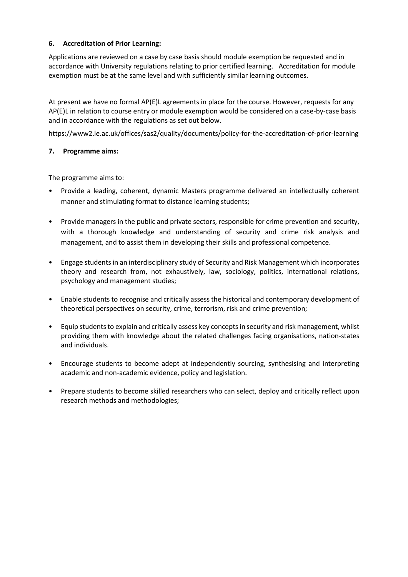# **6. Accreditation of Prior Learning:**

Applications are reviewed on a case by case basis should module exemption be requested and in accordance with University regulations relating to prior certified learning. Accreditation for module exemption must be at the same level and with sufficiently similar learning outcomes.

At present we have no formal AP(E)L agreements in place for the course. However, requests for any AP(E)L in relation to course entry or module exemption would be considered on a case-by-case basis and in accordance with the regulations as set out below.

https://www2.le.ac.uk/offices/sas2/quality/documents/policy-for-the-accreditation-of-prior-learning

# **7. Programme aims:**

The programme aims to:

- Provide a leading, coherent, dynamic Masters programme delivered an intellectually coherent manner and stimulating format to distance learning students;
- Provide managers in the public and private sectors, responsible for crime prevention and security, with a thorough knowledge and understanding of security and crime risk analysis and management, and to assist them in developing their skills and professional competence.
- Engage students in an interdisciplinary study of Security and Risk Management which incorporates theory and research from, not exhaustively, law, sociology, politics, international relations, psychology and management studies;
- Enable students to recognise and critically assess the historical and contemporary development of theoretical perspectives on security, crime, terrorism, risk and crime prevention;
- Equip students to explain and critically assess key concepts in security and risk management, whilst providing them with knowledge about the related challenges facing organisations, nation-states and individuals.
- Encourage students to become adept at independently sourcing, synthesising and interpreting academic and non-academic evidence, policy and legislation.
- Prepare students to become skilled researchers who can select, deploy and critically reflect upon research methods and methodologies;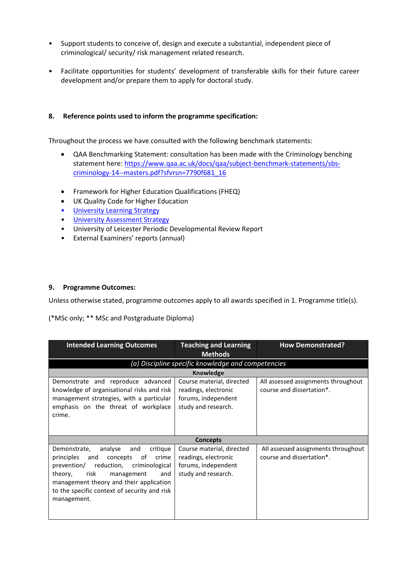- Support students to conceive of, design and execute a substantial, independent piece of criminological/ security/ risk management related research.
- Facilitate opportunities for students' development of transferable skills for their future career development and/or prepare them to apply for doctoral study.

# **8. Reference points used to inform the programme specification:**

Throughout the process we have consulted with the following benchmark statements:

- QAA Benchmarking Statement: consultation has been made with the Criminology benching statement here[: https://www.qaa.ac.uk/docs/qaa/subject-benchmark-statements/sbs](https://www.qaa.ac.uk/docs/qaa/subject-benchmark-statements/sbs-criminology-14--masters.pdf?sfvrsn=7790f681_16)[criminology-14--masters.pdf?sfvrsn=7790f681\\_16](https://www.qaa.ac.uk/docs/qaa/subject-benchmark-statements/sbs-criminology-14--masters.pdf?sfvrsn=7790f681_16)
- Framework for Higher Education Qualifications (FHEQ)
- UK Quality Code for Higher Education
- University Learnin[g Strategy](https://www2.le.ac.uk/offices/sas2/quality/learnteach)
- [University Assessment Strategy](https://www2.le.ac.uk/offices/sas2/quality/learnteach)
- University of Leicester Periodic Developmental Review Report
- External Examiners' reports (annual)

### **9. Programme Outcomes:**

Unless otherwise stated, programme outcomes apply to all awards specified in 1. Programme title(s).

(\*MSc only; \*\* MSc and Postgraduate Diploma)

| <b>Intended Learning Outcomes</b>                                                                                                                                                                                                                                                     | <b>Teaching and Learning</b><br><b>Methods</b>                                                  | <b>How Demonstrated?</b>                                         |  |  |  |
|---------------------------------------------------------------------------------------------------------------------------------------------------------------------------------------------------------------------------------------------------------------------------------------|-------------------------------------------------------------------------------------------------|------------------------------------------------------------------|--|--|--|
| (a) Discipline specific knowledge and competencies                                                                                                                                                                                                                                    |                                                                                                 |                                                                  |  |  |  |
| <b>Knowledge</b>                                                                                                                                                                                                                                                                      |                                                                                                 |                                                                  |  |  |  |
| Demonstrate and reproduce advanced<br>knowledge of organisational risks and risk<br>management strategies, with a particular<br>emphasis on the threat of workplace<br>crime.                                                                                                         | Course material, directed<br>readings, electronic<br>forums, independent<br>study and research. | All assessed assignments throughout<br>course and dissertation*. |  |  |  |
| <b>Concepts</b>                                                                                                                                                                                                                                                                       |                                                                                                 |                                                                  |  |  |  |
| analyse<br>critique<br>Demonstrate,<br>and<br>crime<br>principles<br>and<br>concepts<br>of<br>prevention/ reduction, criminological<br>risk<br>theory,<br>management<br>and<br>management theory and their application<br>to the specific context of security and risk<br>management. | Course material, directed<br>readings, electronic<br>forums, independent<br>study and research. | All assessed assignments throughout<br>course and dissertation*. |  |  |  |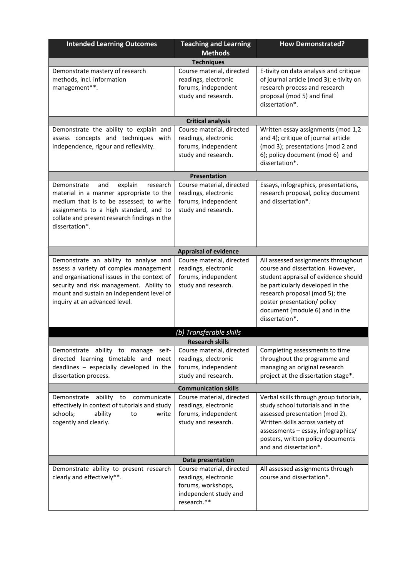| <b>Intended Learning Outcomes</b>                                                                                                                                                                                                                        | <b>Teaching and Learning</b><br><b>Methods</b>                                                                  | <b>How Demonstrated?</b>                                                                                                                                                                                                                                                  |  |  |  |
|----------------------------------------------------------------------------------------------------------------------------------------------------------------------------------------------------------------------------------------------------------|-----------------------------------------------------------------------------------------------------------------|---------------------------------------------------------------------------------------------------------------------------------------------------------------------------------------------------------------------------------------------------------------------------|--|--|--|
|                                                                                                                                                                                                                                                          | <b>Techniques</b>                                                                                               |                                                                                                                                                                                                                                                                           |  |  |  |
| Demonstrate mastery of research<br>methods, incl. information<br>management**.                                                                                                                                                                           | Course material, directed<br>readings, electronic<br>forums, independent<br>study and research.                 | E-tivity on data analysis and critique<br>of journal article (mod 3); e-tivity on<br>research process and research<br>proposal (mod 5) and final<br>dissertation*.                                                                                                        |  |  |  |
|                                                                                                                                                                                                                                                          | <b>Critical analysis</b>                                                                                        |                                                                                                                                                                                                                                                                           |  |  |  |
| Demonstrate the ability to explain and<br>assess concepts and techniques with<br>independence, rigour and reflexivity.                                                                                                                                   | Course material, directed<br>readings, electronic<br>forums, independent<br>study and research.                 | Written essay assignments (mod 1,2<br>and 4); critique of journal article<br>(mod 3); presentations (mod 2 and<br>6); policy document (mod 6) and<br>dissertation*.                                                                                                       |  |  |  |
|                                                                                                                                                                                                                                                          | Presentation                                                                                                    |                                                                                                                                                                                                                                                                           |  |  |  |
| Demonstrate<br>and<br>explain<br>research<br>material in a manner appropriate to the<br>medium that is to be assessed; to write<br>assignments to a high standard, and to<br>collate and present research findings in the<br>dissertation*.              | Course material, directed<br>readings, electronic<br>forums, independent<br>study and research.                 | Essays, infographics, presentations,<br>research proposal, policy document<br>and dissertation*.                                                                                                                                                                          |  |  |  |
|                                                                                                                                                                                                                                                          | <b>Appraisal of evidence</b>                                                                                    |                                                                                                                                                                                                                                                                           |  |  |  |
| Demonstrate an ability to analyse and<br>assess a variety of complex management<br>and organisational issues in the context of<br>security and risk management. Ability to<br>mount and sustain an independent level of<br>inquiry at an advanced level. | Course material, directed<br>readings, electronic<br>forums, independent<br>study and research.                 | All assessed assignments throughout<br>course and dissertation. However,<br>student appraisal of evidence should<br>be particularly developed in the<br>research proposal (mod 5); the<br>poster presentation/ policy<br>document (module 6) and in the<br>dissertation*. |  |  |  |
|                                                                                                                                                                                                                                                          | (b) Transferable skills                                                                                         |                                                                                                                                                                                                                                                                           |  |  |  |
|                                                                                                                                                                                                                                                          | <b>Research skills</b>                                                                                          |                                                                                                                                                                                                                                                                           |  |  |  |
| Demonstrate ability to manage self-<br>directed learning timetable and meet<br>deadlines - especially developed in the<br>dissertation process.                                                                                                          | Course material, directed<br>readings, electronic<br>forums, independent<br>study and research.                 | Completing assessments to time<br>throughout the programme and<br>managing an original research<br>project at the dissertation stage*.                                                                                                                                    |  |  |  |
|                                                                                                                                                                                                                                                          | <b>Communication skills</b>                                                                                     |                                                                                                                                                                                                                                                                           |  |  |  |
| Demonstrate<br>ability<br>to<br>communicate<br>effectively in context of tutorials and study<br>schools;<br>ability<br>to<br>write<br>cogently and clearly.                                                                                              | Course material, directed<br>readings, electronic<br>forums, independent<br>study and research.                 | Verbal skills through group tutorials,<br>study school tutorials and in the<br>assessed presentation (mod 2).<br>Written skills across variety of<br>assessments - essay, infographics/<br>posters, written policy documents<br>and and dissertation*.                    |  |  |  |
| Data presentation                                                                                                                                                                                                                                        |                                                                                                                 |                                                                                                                                                                                                                                                                           |  |  |  |
| Demonstrate ability to present research<br>clearly and effectively**.                                                                                                                                                                                    | Course material, directed<br>readings, electronic<br>forums, workshops,<br>independent study and<br>research.** | All assessed assignments through<br>course and dissertation*.                                                                                                                                                                                                             |  |  |  |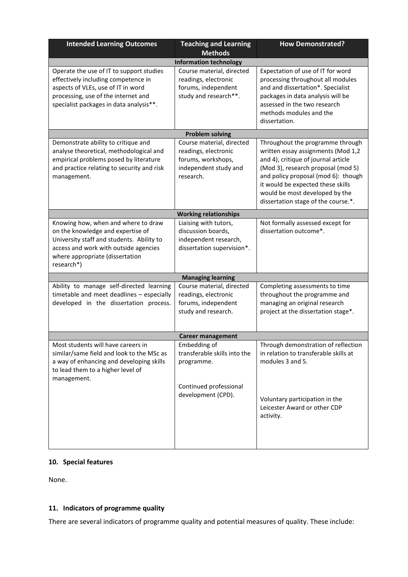| <b>Intended Learning Outcomes</b>                                                                                                                                                                               | <b>Teaching and Learning</b><br><b>Methods</b>                                                                | <b>How Demonstrated?</b>                                                                                                                                                                                                                                                                                 |  |  |  |  |  |
|-----------------------------------------------------------------------------------------------------------------------------------------------------------------------------------------------------------------|---------------------------------------------------------------------------------------------------------------|----------------------------------------------------------------------------------------------------------------------------------------------------------------------------------------------------------------------------------------------------------------------------------------------------------|--|--|--|--|--|
| <b>Information technology</b>                                                                                                                                                                                   |                                                                                                               |                                                                                                                                                                                                                                                                                                          |  |  |  |  |  |
| Operate the use of IT to support studies<br>effectively including competence in<br>aspects of VLEs, use of IT in word<br>processing, use of the internet and<br>specialist packages in data analysis**.         | Course material, directed<br>readings, electronic<br>forums, independent<br>study and research**.             | Expectation of use of IT for word<br>processing throughout all modules<br>and and dissertation*. Specialist<br>packages in data analysis will be<br>assessed in the two research<br>methods modules and the<br>dissertation.                                                                             |  |  |  |  |  |
|                                                                                                                                                                                                                 | <b>Problem solving</b>                                                                                        |                                                                                                                                                                                                                                                                                                          |  |  |  |  |  |
| Demonstrate ability to critique and<br>analyse theoretical, methodological and<br>empirical problems posed by literature<br>and practice relating to security and risk<br>management.                           | Course material, directed<br>readings, electronic<br>forums, workshops,<br>independent study and<br>research. | Throughout the programme through<br>written essay assignments (Mod 1,2<br>and 4), critique of journal article<br>(Mod 3), research proposal (mod 5)<br>and policy proposal (mod 6): though<br>it would be expected these skills<br>would be most developed by the<br>dissertation stage of the course.*. |  |  |  |  |  |
|                                                                                                                                                                                                                 | <b>Working relationships</b>                                                                                  |                                                                                                                                                                                                                                                                                                          |  |  |  |  |  |
| Knowing how, when and where to draw<br>on the knowledge and expertise of<br>University staff and students. Ability to<br>access and work with outside agencies<br>where appropriate (dissertation<br>research*) | Liaising with tutors,<br>discussion boards,<br>independent research,<br>dissertation supervision*.            | Not formally assessed except for<br>dissertation outcome*.                                                                                                                                                                                                                                               |  |  |  |  |  |
|                                                                                                                                                                                                                 | <b>Managing learning</b>                                                                                      |                                                                                                                                                                                                                                                                                                          |  |  |  |  |  |
| Ability to manage self-directed learning<br>timetable and meet deadlines - especially<br>developed in the dissertation process.                                                                                 | Course material, directed<br>readings, electronic<br>forums, independent<br>study and research.               | Completing assessments to time<br>throughout the programme and<br>managing an original research<br>project at the dissertation stage*.                                                                                                                                                                   |  |  |  |  |  |
|                                                                                                                                                                                                                 | <b>Career management</b>                                                                                      |                                                                                                                                                                                                                                                                                                          |  |  |  |  |  |
| Most students will have careers in<br>similar/same field and look to the MSc as<br>a way of enhancing and developing skills<br>to lead them to a higher level of<br>management.                                 | Embedding of<br>transferable skills into the<br>programme.<br>Continued professional<br>development (CPD).    | Through demonstration of reflection<br>in relation to transferable skills at<br>modules 3 and 5.<br>Voluntary participation in the<br>Leicester Award or other CDP<br>activity.                                                                                                                          |  |  |  |  |  |

# **10. Special features**

None.

# **11. Indicators of programme quality**

There are several indicators of programme quality and potential measures of quality. These include: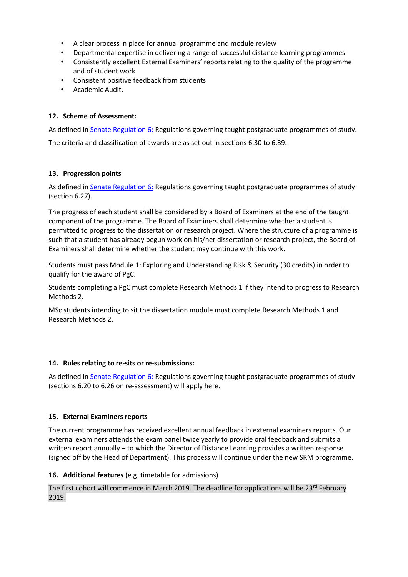- A clear process in place for annual programme and module review
- Departmental expertise in delivering a range of successful distance learning programmes
- Consistently excellent External Examiners' reports relating to the quality of the programme and of student work
- Consistent positive feedback from students
- Academic Audit.

# **12. Scheme of Assessment:**

As defined in **Senate Regulation 6: Regulations governing taught postgraduate programmes of study.** 

The criteria and classification of awards are as set out in sections 6.30 to 6.39.

# **13. Progression points**

As defined in **Senate Regulation 6:** Regulations governing taught postgraduate programmes of study (section 6.27).

The progress of each student shall be considered by a Board of Examiners at the end of the taught component of the programme. The Board of Examiners shall determine whether a student is permitted to progress to the dissertation or research project. Where the structure of a programme is such that a student has already begun work on his/her dissertation or research project, the Board of Examiners shall determine whether the student may continue with this work.

Students must pass Module 1: Exploring and Understanding Risk & Security (30 credits) in order to qualify for the award of PgC.

Students completing a PgC must complete Research Methods 1 if they intend to progress to Research Methods 2.

MSc students intending to sit the dissertation module must complete Research Methods 1 and Research Methods 2.

### **14. Rules relating to re-sits or re-submissions:**

As defined i[n Senate Regulation 6:](http://www.le.ac.uk/senate-regulation6) Regulations governing taught postgraduate programmes of study (sections 6.20 to 6.26 on re-assessment) will apply here.

### **15. External Examiners reports**

The current programme has received excellent annual feedback in external examiners reports. Our external examiners attends the exam panel twice yearly to provide oral feedback and submits a written report annually – to which the Director of Distance Learning provides a written response (signed off by the Head of Department). This process will continue under the new SRM programme.

### **16. Additional features** (e.g. timetable for admissions)

The first cohort will commence in March 2019. The deadline for applications will be 23<sup>rd</sup> February 2019.